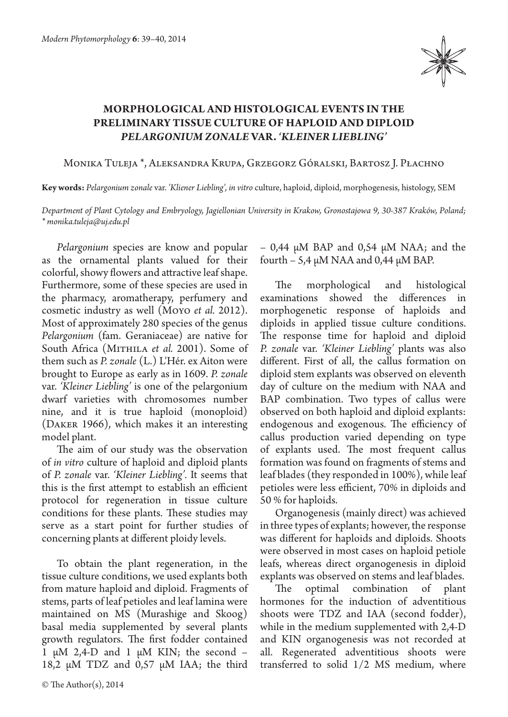

## **MORPHOLOGICAL AND HISTOLOGICAL EVENTS IN THE PRELIMINARY TISSUE CULTURE OF HAPLOID AND DIPLOID**  *PELARGONIUM ZONALE* **VAR.** *'KLEINER LIEBLING'*

Monika Tuleja \*, Aleksandra Krupa, Grzegorz Góralski, Bartosz J. Płachno

**Key words:** *Pelargonium zonale* var. *'Kliener Liebling', in vitro* culture, haploid, diploid, morphogenesis, histology, SEM

*Department of Plant Cytology and Embryology, Jagiellonian University in Krakow, Gronostajowa 9, 30-387 Kraków, Poland; \* monika.tuleja@uj.edu.pl*

*Pelargonium* species are know and popular as the ornamental plants valued for their colorful, showy flowers and attractive leaf shape. Furthermore, some of these species are used in the pharmacy, aromatherapy, perfumery and cosmetic industry as well (Moyo *et al.* 2012). Most of approximately 280 species of the genus *Pelargonium* (fam. Geraniaceae) are native for South Africa (MITHILA *et al.* 2001). Some of them such as *P. zonale* (L.) L'Hér. ex Aiton were brought to Europe as early as in 1609. *P. zonale*  var. *'Kleiner Liebling'* is one of the pelargonium dwarf varieties with chromosomes number nine, and it is true haploid (monoploid) (Daker 1966), which makes it an interesting model plant.

The aim of our study was the observation of *in vitro* culture of haploid and diploid plants of *P. zonale* var. *'Kleiner Liebling'.* It seems that this is the first attempt to establish an efficient protocol for regeneration in tissue culture conditions for these plants. These studies may serve as a start point for further studies of concerning plants at different ploidy levels.

To obtain the plant regeneration, in the tissue culture conditions, we used explants both from mature haploid and diploid. Fragments of stems, parts of leaf petioles and leaf lamina were maintained on MS (Murashige and Skoog) basal media supplemented by several plants growth regulators. The first fodder contained 1  $\mu$ M 2,4-D and 1  $\mu$ M KIN; the second – 18,2  $\mu$ M TDZ and 0,57  $\mu$ M IAA; the third  $-$  0,44  $\mu$ M BAP and 0,54  $\mu$ M NAA; and the fourth – 5,4  $\mu$ M NAA and 0,44  $\mu$ M BAP.

The morphological and histological examinations showed the differences in morphogenetic response of haploids and diploids in applied tissue culture conditions. The response time for haploid and diploid *P. zonale* var. *'Kleiner Liebling'* plants was also different. First of all, the callus formation on diploid stem explants was observed on eleventh day of culture on the medium with NAA and BAP combination. Two types of callus were observed on both haploid and diploid explants: endogenous and exogenous. The efficiency of callus production varied depending on type of explants used. The most frequent callus formation was found on fragments of stems and leaf blades (they responded in 100%), while leaf petioles were less efficient, 70% in diploids and 50 % for haploids.

Organogenesis (mainly direct) was achieved in three types of explants; however, the response was different for haploids and diploids. Shoots were observed in most cases on haploid petiole leafs, whereas direct organogenesis in diploid explants was observed on stems and leaf blades.

The optimal combination of plant hormones for the induction of adventitious shoots were TDZ and IAA (second fodder), while in the medium supplemented with 2,4-D and KIN organogenesis was not recorded at all. Regenerated adventitious shoots were transferred to solid 1/2 MS medium, where